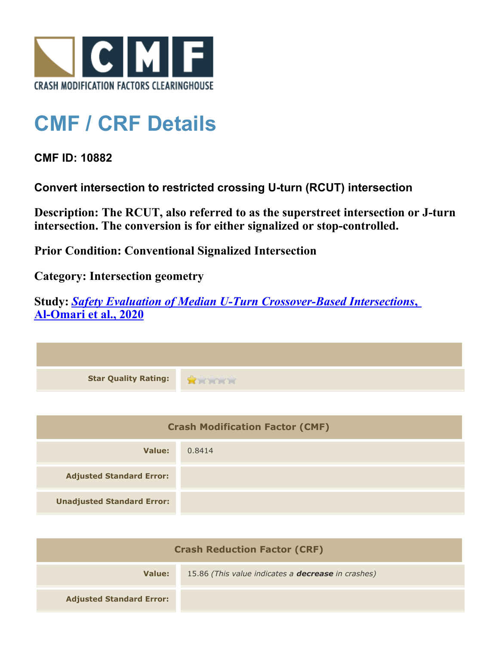

## **CMF / CRF Details**

**CMF ID: 10882**

**Convert intersection to restricted crossing U-turn (RCUT) intersection**

**Description: The RCUT, also referred to as the superstreet intersection or J-turn intersection. The conversion is for either signalized or stop-controlled.**

**Prior Condition: Conventional Signalized Intersection**

**Category: Intersection geometry**

**Study:** *[Safety Evaluation of Median U-Turn Crossover-Based Intersections](http://www.cmfclearinghouse.org/study_detail.cfm?stid=629)***[,](http://www.cmfclearinghouse.org/study_detail.cfm?stid=629) [Al-Omari et al., 2020](http://www.cmfclearinghouse.org/study_detail.cfm?stid=629)**

| Star Quality Rating: |  |
|----------------------|--|

| <b>Crash Modification Factor (CMF)</b> |        |
|----------------------------------------|--------|
| Value:                                 | 0.8414 |
| <b>Adjusted Standard Error:</b>        |        |
| <b>Unadjusted Standard Error:</b>      |        |

| <b>Crash Reduction Factor (CRF)</b> |                                                           |
|-------------------------------------|-----------------------------------------------------------|
| Value:                              | 15.86 (This value indicates a <b>decrease</b> in crashes) |
| <b>Adjusted Standard Error:</b>     |                                                           |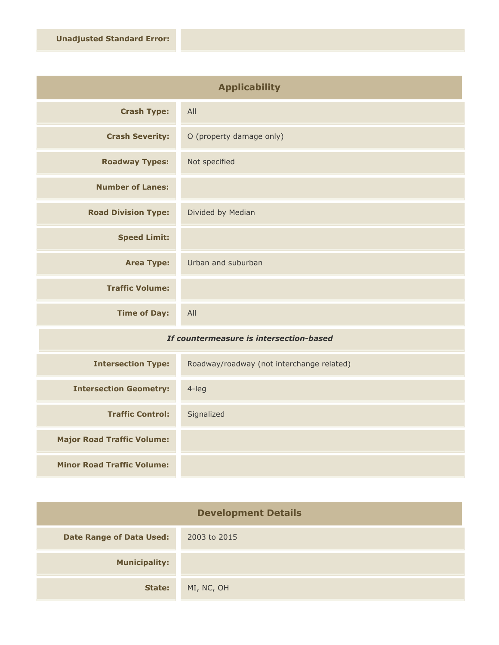| <b>Applicability</b>       |                          |
|----------------------------|--------------------------|
| <b>Crash Type:</b>         | All                      |
| <b>Crash Severity:</b>     | O (property damage only) |
| <b>Roadway Types:</b>      | Not specified            |
| <b>Number of Lanes:</b>    |                          |
| <b>Road Division Type:</b> | Divided by Median        |
| <b>Speed Limit:</b>        |                          |
| <b>Area Type:</b>          | Urban and suburban       |
| <b>Traffic Volume:</b>     |                          |
| <b>Time of Day:</b>        | All                      |
|                            |                          |

## *If countermeasure is intersection-based*

| <b>Intersection Type:</b>         | Roadway/roadway (not interchange related) |
|-----------------------------------|-------------------------------------------|
| <b>Intersection Geometry:</b>     | $4$ -leg                                  |
| <b>Traffic Control:</b>           | Signalized                                |
| <b>Major Road Traffic Volume:</b> |                                           |
| <b>Minor Road Traffic Volume:</b> |                                           |

| <b>Development Details</b>      |              |
|---------------------------------|--------------|
| <b>Date Range of Data Used:</b> | 2003 to 2015 |
| <b>Municipality:</b>            |              |
| State:                          | MI, NC, OH   |